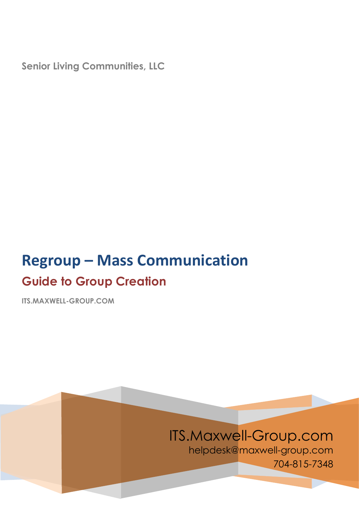**Senior Living Communities, LLC**

## **Regroup – Mass Communication Guide to Group Creation**

**ITS.MAXWELL-GROUP.COM**

## ITS.Maxwell-Group.com

helpdesk@maxwell-group.com 704-815-7348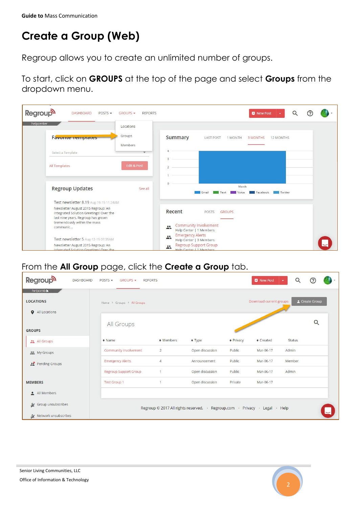## **Create a Group (Web)**

Regroup allows you to create an unlimited number of groups.

To start, click on **GROUPS** at the top of the page and select **Groups** from the dropdown menu.

| <b>Regroup</b><br><b>DASHBOARD</b><br>$POSTS$ $\rightarrow$                                                                                                     | <b>REPORTS</b><br>GROUPS - | $\alpha$<br>New Post                                                                                 |  |
|-----------------------------------------------------------------------------------------------------------------------------------------------------------------|----------------------------|------------------------------------------------------------------------------------------------------|--|
| helpcenter<br><b>Favorne remplates</b>                                                                                                                          | Locations<br>Groups        | <b>Summary</b><br><b>LAST POST</b><br>1 MONTH<br><b>3 MONTHS</b><br>12 MONTHS                        |  |
| Select a Template                                                                                                                                               | Members                    |                                                                                                      |  |
| All Templates                                                                                                                                                   | <b>Edit &amp; Post</b>     |                                                                                                      |  |
| <b>Regroup Updates</b>                                                                                                                                          | See all                    | March<br>Facebook Twitter<br>Voice<br>Email<br>Text                                                  |  |
| Test newsletter 8.19 Aug-19-15 11:24AM                                                                                                                          |                            |                                                                                                      |  |
| Newsletter August 2015 Regroup: An<br>Integrated Solution Greetings! Over the<br>last nine years, Regroup has grown<br>tremendously within the mass<br>communic |                            | Recent<br><b>GROUPS</b><br>POSTS<br>Community Involvement<br>$\mathbf{R}$<br>Help Center   1 Members |  |
| Test newsletter 5 Aug-12-15 07:35AM<br>Newsletter August 2015 Regroup: An                                                                                       |                            | <b>Emergency Alerts</b><br>$\mathbf{a}$<br>Help Center   3 Members<br><b>Regroup Support Group</b>   |  |
| Integrated Colution Creetings! Over the                                                                                                                         |                            | $\bullet \bullet$<br>$\blacksquare$<br>Hole Contar   1 Mambarc                                       |  |

## From the **All Group** page, click the **Create a Group** tab.

| <b>Regroup</b><br><b>DASHBOARD</b>                           |                              | New Post             | Q                                                                          |               |                |        |          |  |  |
|--------------------------------------------------------------|------------------------------|----------------------|----------------------------------------------------------------------------|---------------|----------------|--------|----------|--|--|
| helpcentex<br><b>LOCATIONS</b><br>All Locations<br>$\bullet$ | Home > Groups > All Groups   |                      | Create Group<br>Download current groups                                    |               |                |        |          |  |  |
| <b>GROUPS</b>                                                | All Groups                   |                      |                                                                            |               |                |        | $\alpha$ |  |  |
| 22 All Groups                                                | $\triangleq$ Name            | $\triangleq$ Members | $\div$ Type                                                                | + Privacy     | $\div$ Created | Status |          |  |  |
| <b>ea</b> My Groups                                          | Community Involvement        | $\overline{2}$       | Open discussion                                                            | Public        | Mar-06-17      | Admin  |          |  |  |
| Pending Groups                                               | <b>Emergency Alerts</b>      | $\overline{4}$       | Announcement                                                               | <b>Public</b> | Mar-06-17      | Member |          |  |  |
|                                                              | <b>Regroup Support Group</b> |                      | Open discussion                                                            | Public        | Mar-06-17      | Admin  |          |  |  |
| <b>MEMBERS</b>                                               | <b>Test Group 1</b>          | $\overline{1}$       | Open discussion                                                            | Private       | Mar-06-17      |        |          |  |  |
| All Members                                                  |                              |                      |                                                                            |               |                |        |          |  |  |
| & Group unsubscribes                                         |                              |                      | Regroup © 2017 All rights reserved. · Regroup.com · Privacy · Legal · Help |               |                |        |          |  |  |
| & Network unsubscribes                                       |                              |                      |                                                                            |               |                |        |          |  |  |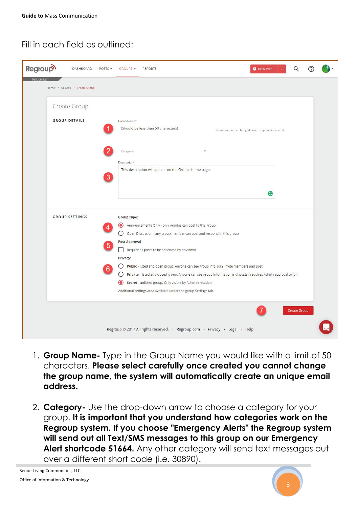Fill in each field as outlined:

| <b>Regroup</b>                                                             | DASHBOARD                                                                                                                                                                                                                                                                                                                  | $POSTS$ $\rightarrow$ | GROUPS -                                                                    |  | <b>REPORTS</b>                                          |  |  |  |  |                                                   |  | New Post |                     |  |  |
|----------------------------------------------------------------------------|----------------------------------------------------------------------------------------------------------------------------------------------------------------------------------------------------------------------------------------------------------------------------------------------------------------------------|-----------------------|-----------------------------------------------------------------------------|--|---------------------------------------------------------|--|--|--|--|---------------------------------------------------|--|----------|---------------------|--|--|
| helpcenter                                                                 | Home > Groups > Create Group                                                                                                                                                                                                                                                                                               |                       |                                                                             |  |                                                         |  |  |  |  |                                                   |  |          |                     |  |  |
|                                                                            | Create Group                                                                                                                                                                                                                                                                                                               |                       |                                                                             |  |                                                         |  |  |  |  |                                                   |  |          |                     |  |  |
|                                                                            | <b>GROUP DETAILS</b>                                                                                                                                                                                                                                                                                                       |                       | Group Name*<br>(Should be less than 50 characters)                          |  |                                                         |  |  |  |  | Name cannot be changed once the group is created. |  |          |                     |  |  |
|                                                                            |                                                                                                                                                                                                                                                                                                                            |                       | Category<br>Description*                                                    |  |                                                         |  |  |  |  |                                                   |  |          |                     |  |  |
|                                                                            |                                                                                                                                                                                                                                                                                                                            | 3                     | This description will appear on the Groups home page.                       |  |                                                         |  |  |  |  |                                                   |  | G        |                     |  |  |
|                                                                            | <b>GROUP SETTINGS</b>                                                                                                                                                                                                                                                                                                      | 4                     | <b>Group Type:</b><br>$\odot$                                               |  | Announcements Only - only Admins can post to this group |  |  |  |  |                                                   |  |          |                     |  |  |
|                                                                            | $\bigcirc$ Open Discussion - any group member can post and respond in this group<br><b>Post Approval</b><br>5<br>Require all posts to be approved by an admin<br>H                                                                                                                                                         |                       |                                                                             |  |                                                         |  |  |  |  |                                                   |  |          |                     |  |  |
|                                                                            | Privacy:<br>Public - listed and open group. Anyone can see group info, join, invite members and post<br>$\bigcirc$<br>6 <sup>1</sup><br>Private - listed and closed group. Anyone can see group information (not posts); requires Admin approval to join<br>O<br>Secret - unlisted group. Only visible by Admin invitation |                       |                                                                             |  |                                                         |  |  |  |  |                                                   |  |          |                     |  |  |
|                                                                            |                                                                                                                                                                                                                                                                                                                            |                       | $\odot$<br>Additional settings area available under the group Settings tab. |  |                                                         |  |  |  |  |                                                   |  |          |                     |  |  |
|                                                                            |                                                                                                                                                                                                                                                                                                                            |                       |                                                                             |  |                                                         |  |  |  |  |                                                   |  |          | <b>Create Group</b> |  |  |
| Regroup © 2017 All rights reserved. · Regroup.com · Privacy · Legal · Help |                                                                                                                                                                                                                                                                                                                            |                       |                                                                             |  |                                                         |  |  |  |  |                                                   |  |          |                     |  |  |

- 1. **Group Name-** Type in the Group Name you would like with a limit of 50 characters. **Please select carefully once created you cannot change the group name, the system will automatically create an unique email address.**
- 2. **Category-** Use the drop-down arrow to choose a category for your group. **It is important that you understand how categories work on the Regroup system. If you choose "Emergency Alerts" the Regroup system will send out all Text/SMS messages to this group on our Emergency Alert shortcode 51664.** Any other category will send text messages out over a different short code (i.e. 30890).

Senior Living Communities, LLC Office of Information & Technology